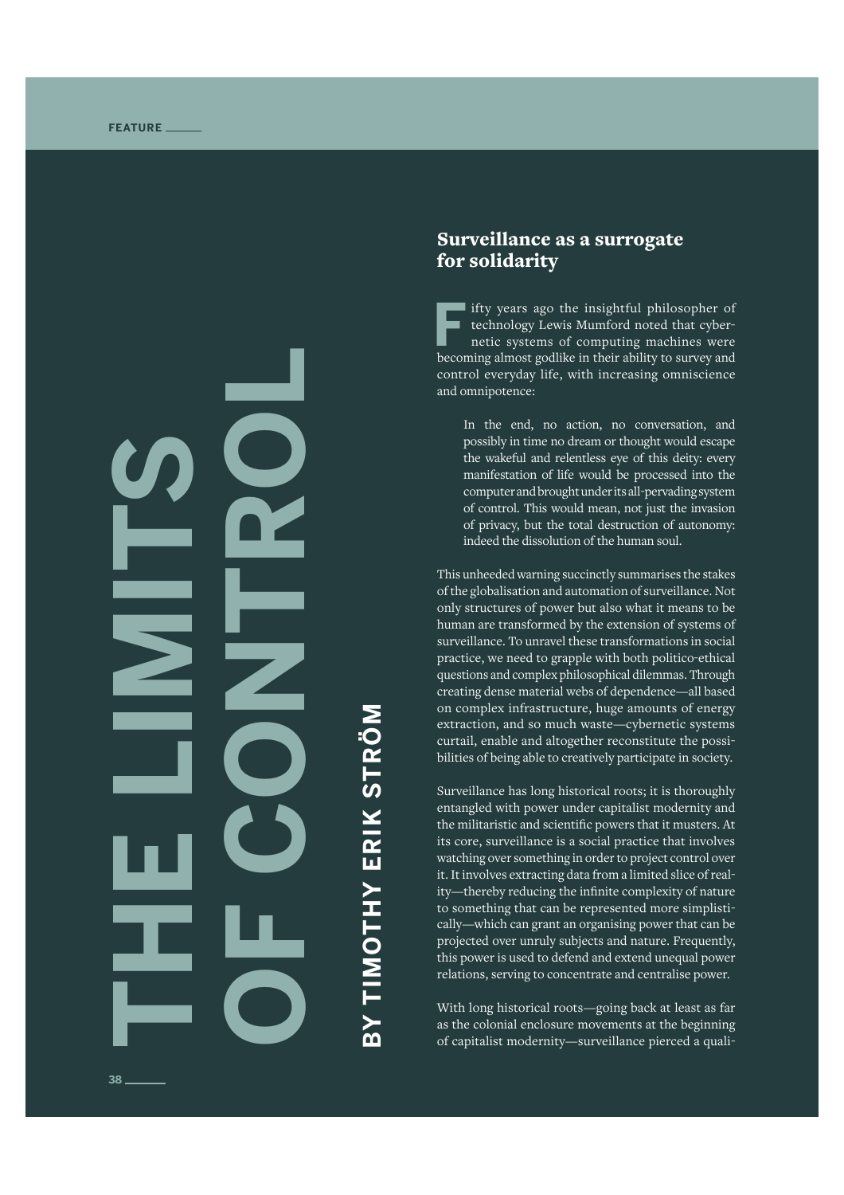**THE LIMITS OF DECALL** 

**38** 

**BY TIMOTHY ERIK STRÖM**

**OTHY ERIK** 

# Surveillance as a surrogate for solidarity

**F**ifty years ago the insightful philosopher of technology Lewis Mumford noted that cybernetic systems of computing machines were becoming almost godlike in their ability to survey and control everyday life, with increasing omniscience and omnipotence:

In the end, no action, no conversation, and possibly in time no dream or thought would escape the wakeful and relentless eye of this deity: every manifestation of life would be processed into the computer and brought under its all-pervading system of control. This would mean, not just the invasion of privacy, but the total destruction of autonomy: indeed the dissolution of the human soul.

This unheeded warning succinctly summarises the stakes of the globalisation and automation of surveillance. Not only structures of power but also what it means to be human are transformed by the extension of systems of surveillance. To unravel these transformations in social practice, we need to grapple with both politico-ethical questions and complex philosophical dilemmas. Through creating dense material webs of dependence—all based on complex infrastructure, huge amounts of energy extraction, and so much waste—cybernetic systems curtail, enable and altogether reconstitute the possibilities of being able to creatively participate in society.

Surveillance has long historical roots; it is thoroughly entangled with power under capitalist modernity and the militaristic and scientific powers that it musters. At its core, surveillance is a social practice that involves watching over something in order to project control over it. It involves extracting data from a limited slice of reality—thereby reducing the infinite complexity of nature to something that can be represented more simplistically—which can grant an organising power that can be projected over unruly subjects and nature. Frequently, this power is used to defend and extend unequal power relations, serving to concentrate and centralise power.

With long historical roots—going back at least as far as the colonial enclosure movements at the beginning of capitalist modernity—surveillance pierced a quali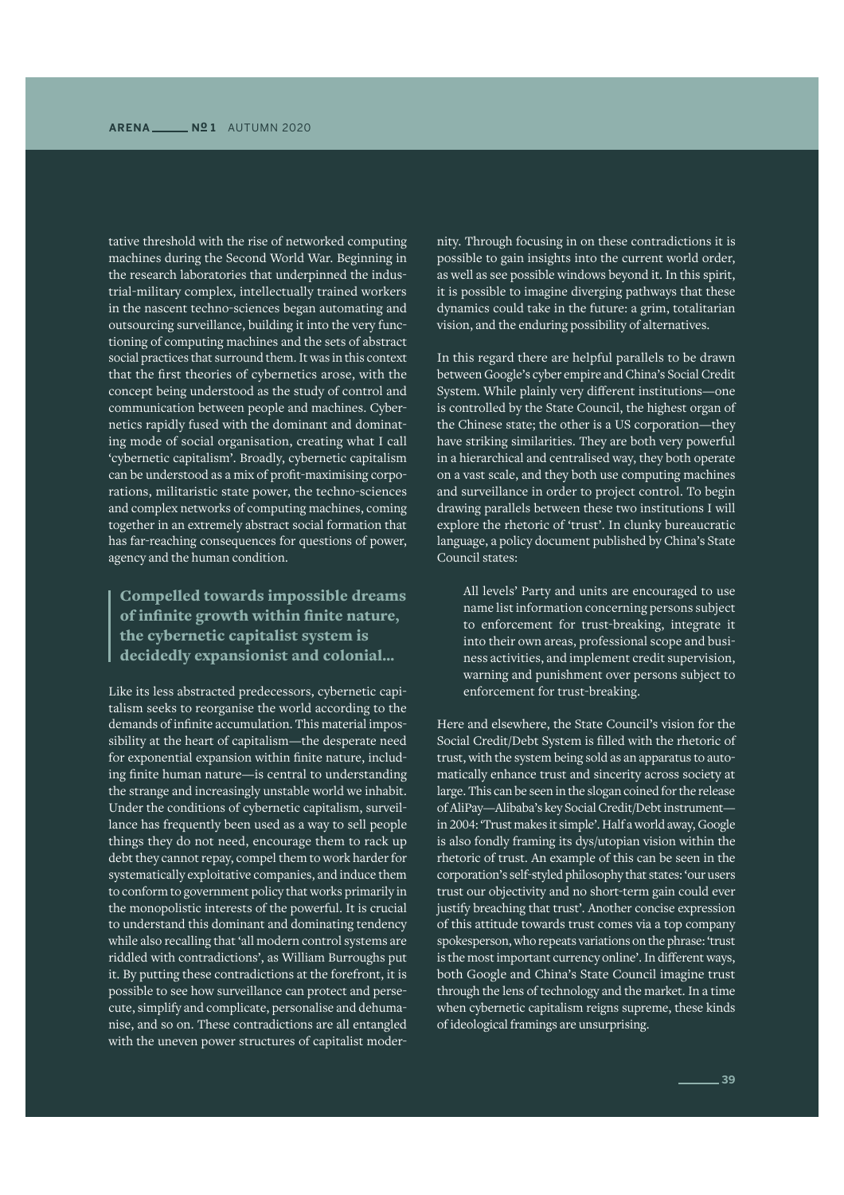tative threshold with the rise of networked computing machines during the Second World War. Beginning in the research laboratories that underpinned the industrial-military complex, intellectually trained workers in the nascent techno-sciences began automating and outsourcing surveillance, building it into the very functioning of computing machines and the sets of abstract social practices that surround them. It was in this context that the first theories of cybernetics arose, with the concept being understood as the study of control and communication between people and machines. Cybernetics rapidly fused with the dominant and dominating mode of social organisation, creating what I call 'cybernetic capitalism'. Broadly, cybernetic capitalism can be understood as a mix of profit-maximising corporations, militaristic state power, the techno-sciences and complex networks of computing machines, coming together in an extremely abstract social formation that has far-reaching consequences for questions of power, agency and the human condition.

## Compelled towards impossible dreams of infinite growth within finite nature, the cybernetic capitalist system is decidedly expansionist and colonial...

Like its less abstracted predecessors, cybernetic capitalism seeks to reorganise the world according to the demands of infinite accumulation. This material impossibility at the heart of capitalism—the desperate need for exponential expansion within finite nature, including finite human nature—is central to understanding the strange and increasingly unstable world we inhabit. Under the conditions of cybernetic capitalism, surveillance has frequently been used as a way to sell people things they do not need, encourage them to rack up debt they cannot repay, compel them to work harder for systematically exploitative companies, and induce them to conform to government policy that works primarily in the monopolistic interests of the powerful. It is crucial to understand this dominant and dominating tendency while also recalling that 'all modern control systems are riddled with contradictions', as William Burroughs put it. By putting these contradictions at the forefront, it is possible to see how surveillance can protect and persecute, simplify and complicate, personalise and dehumanise, and so on. These contradictions are all entangled with the uneven power structures of capitalist moder-

nity. Through focusing in on these contradictions it is possible to gain insights into the current world order, as well as see possible windows beyond it. In this spirit, it is possible to imagine diverging pathways that these dynamics could take in the future: a grim, totalitarian vision, and the enduring possibility of alternatives.

In this regard there are helpful parallels to be drawn between Google's cyber empire and China's Social Credit System. While plainly very different institutions—one is controlled by the State Council, the highest organ of the Chinese state; the other is a US corporation—they have striking similarities. They are both very powerful in a hierarchical and centralised way, they both operate on a vast scale, and they both use computing machines and surveillance in order to project control. To begin drawing parallels between these two institutions I will explore the rhetoric of 'trust'. In clunky bureaucratic language, a policy document published by China's State Council states:

All levels' Party and units are encouraged to use name list information concerning persons subject to enforcement for trust-breaking, integrate it into their own areas, professional scope and business activities, and implement credit supervision, warning and punishment over persons subject to enforcement for trust-breaking.

Here and elsewhere, the State Council's vision for the Social Credit/Debt System is filled with the rhetoric of trust, with the system being sold as an apparatus to automatically enhance trust and sincerity across society at large. This can be seen in the slogan coined for the release of AliPay—Alibaba's key Social Credit/Debt instrument in 2004: 'Trust makes it simple'. Half a world away, Google is also fondly framing its dys/utopian vision within the rhetoric of trust. An example of this can be seen in the corporation's self-styled philosophy that states: 'our users trust our objectivity and no short-term gain could ever justify breaching that trust'. Another concise expression of this attitude towards trust comes via a top company spokesperson, who repeats variations on the phrase: 'trust is the most important currency online'. In different ways, both Google and China's State Council imagine trust through the lens of technology and the market. In a time when cybernetic capitalism reigns supreme, these kinds of ideological framings are unsurprising.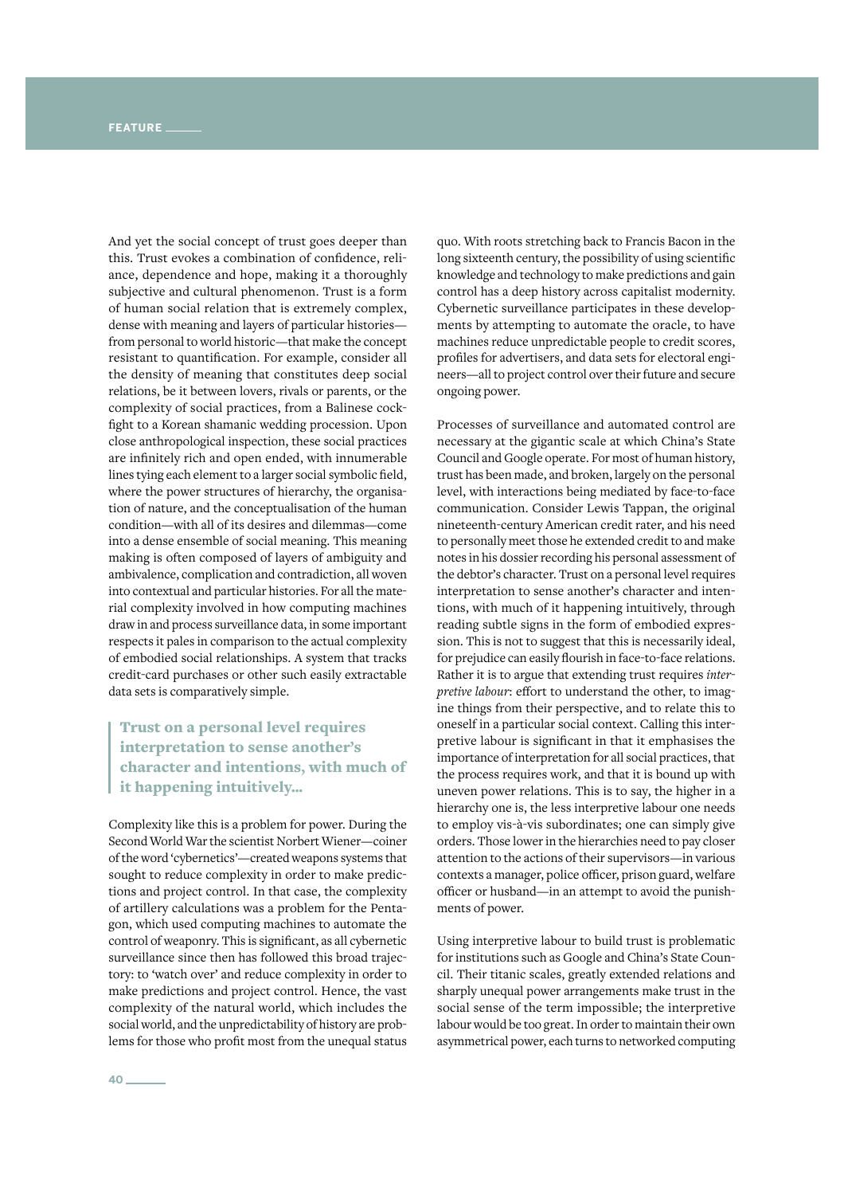And yet the social concept of trust goes deeper than this. Trust evokes a combination of confidence, reliance, dependence and hope, making it a thoroughly subjective and cultural phenomenon. Trust is a form of human social relation that is extremely complex, dense with meaning and layers of particular histories from personal to world historic—that make the concept resistant to quantification. For example, consider all the density of meaning that constitutes deep social relations, be it between lovers, rivals or parents, or the complexity of social practices, from a Balinese cockfight to a Korean shamanic wedding procession. Upon close anthropological inspection, these social practices are infinitely rich and open ended, with innumerable lines tying each element to a larger social symbolic field, where the power structures of hierarchy, the organisation of nature, and the conceptualisation of the human condition—with all of its desires and dilemmas—come into a dense ensemble of social meaning. This meaning making is often composed of layers of ambiguity and ambivalence, complication and contradiction, all woven into contextual and particular histories. For all the material complexity involved in how computing machines draw in and process surveillance data, in some important respects it pales in comparison to the actual complexity of embodied social relationships. A system that tracks credit-card purchases or other such easily extractable data sets is comparatively simple.

#### Trust on a personal level requires interpretation to sense another's character and intentions, with much of it happening intuitively…

Complexity like this is a problem for power. During the Second World War the scientist Norbert Wiener—coiner of the word 'cybernetics'—created weapons systems that sought to reduce complexity in order to make predictions and project control. In that case, the complexity of artillery calculations was a problem for the Pentagon, which used computing machines to automate the control of weaponry. This is significant, as all cybernetic surveillance since then has followed this broad trajectory: to 'watch over' and reduce complexity in order to make predictions and project control. Hence, the vast complexity of the natural world, which includes the social world, and the unpredictability of history are problems for those who profit most from the unequal status

quo. With roots stretching back to Francis Bacon in the long sixteenth century, the possibility of using scientific knowledge and technology to make predictions and gain control has a deep history across capitalist modernity. Cybernetic surveillance participates in these developments by attempting to automate the oracle, to have machines reduce unpredictable people to credit scores, profiles for advertisers, and data sets for electoral engineers—all to project control over their future and secure ongoing power.

Processes of surveillance and automated control are necessary at the gigantic scale at which China's State Council and Google operate. For most of human history, trust has been made, and broken, largely on the personal level, with interactions being mediated by face-to-face communication. Consider Lewis Tappan, the original nineteenth-century American credit rater, and his need to personally meet those he extended credit to and make notes in his dossier recording his personal assessment of the debtor's character. Trust on a personal level requires interpretation to sense another's character and intentions, with much of it happening intuitively, through reading subtle signs in the form of embodied expression. This is not to suggest that this is necessarily ideal, for prejudice can easily flourish in face-to-face relations. Rather it is to argue that extending trust requires *interpretive labour*: effort to understand the other, to imagine things from their perspective, and to relate this to oneself in a particular social context. Calling this interpretive labour is significant in that it emphasises the importance of interpretation for all social practices, that the process requires work, and that it is bound up with uneven power relations. This is to say, the higher in a hierarchy one is, the less interpretive labour one needs to employ vis-à-vis subordinates; one can simply give orders. Those lower in the hierarchies need to pay closer attention to the actions of their supervisors—in various contexts a manager, police officer, prison guard, welfare officer or husband—in an attempt to avoid the punishments of power.

Using interpretive labour to build trust is problematic for institutions such as Google and China's State Council. Their titanic scales, greatly extended relations and sharply unequal power arrangements make trust in the social sense of the term impossible; the interpretive labour would be too great. In order to maintain their own asymmetrical power, each turns to networked computing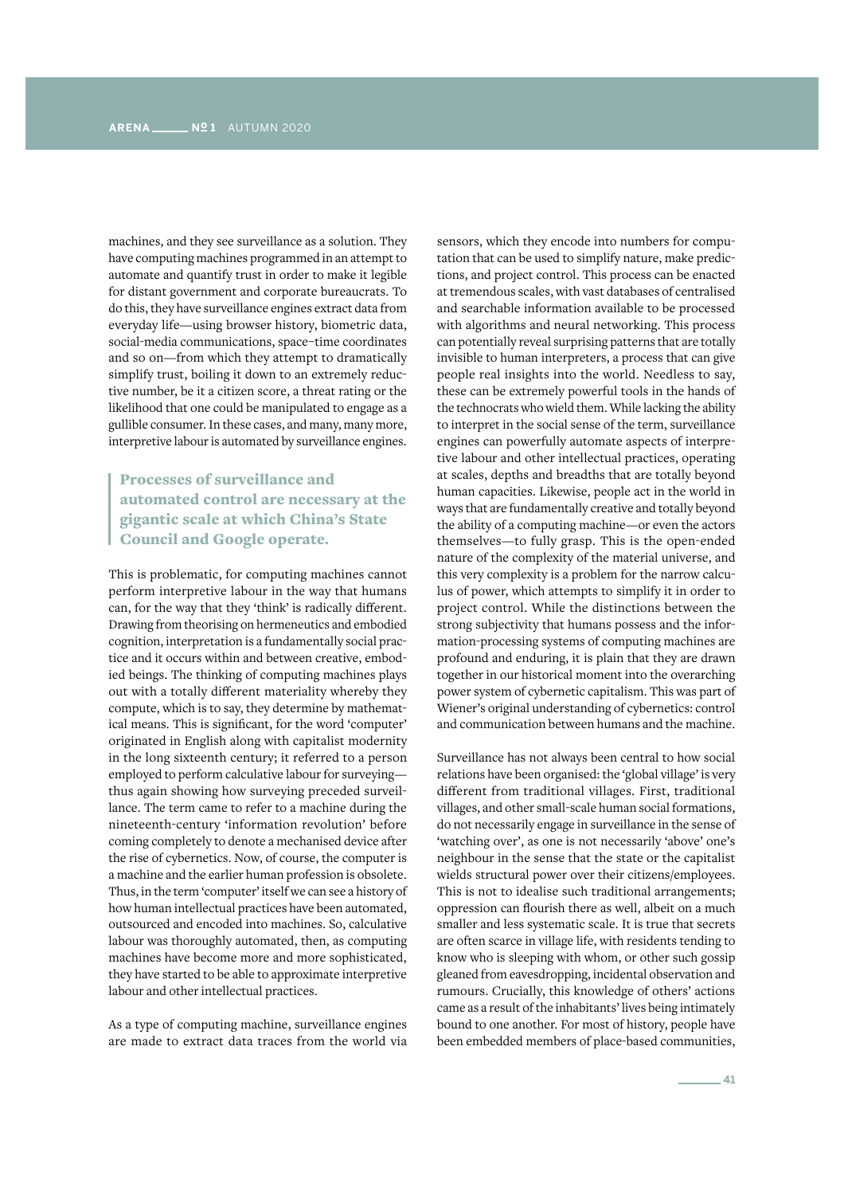machines, and they see surveillance as a solution. They have computing machines programmed in an attempt to automate and quantify trust in order to make it legible for distant government and corporate bureaucrats. To do this, they have surveillance engines extract data from everyday life—using browser history, biometric data, social-media communications, space–time coordinates and so on—from which they attempt to dramatically simplify trust, boiling it down to an extremely reductive number, be it a citizen score, a threat rating or the likelihood that one could be manipulated to engage as a gullible consumer. In these cases, and many, many more, interpretive labour is automated by surveillance engines.

# Processes of surveillance and automated control are necessary at the gigantic scale at which China's State Council and Google operate.

This is problematic, for computing machines cannot perform interpretive labour in the way that humans can, for the way that they 'think' is radically different. Drawing from theorising on hermeneutics and embodied cognition, interpretation is a fundamentally social practice and it occurs within and between creative, embodied beings. The thinking of computing machines plays out with a totally different materiality whereby they compute, which is to say, they determine by mathematical means. This is significant, for the word 'computer' originated in English along with capitalist modernity in the long sixteenth century; it referred to a person employed to perform calculative labour for surveying thus again showing how surveying preceded surveillance. The term came to refer to a machine during the nineteenth-century 'information revolution' before coming completely to denote a mechanised device after the rise of cybernetics. Now, of course, the computer is a machine and the earlier human profession is obsolete. Thus, in the term 'computer' itself we can see a history of how human intellectual practices have been automated, outsourced and encoded into machines. So, calculative labour was thoroughly automated, then, as computing machines have become more and more sophisticated, they have started to be able to approximate interpretive labour and other intellectual practices.

As a type of computing machine, surveillance engines are made to extract data traces from the world via

sensors, which they encode into numbers for computation that can be used to simplify nature, make predictions, and project control. This process can be enacted at tremendous scales, with vast databases of centralised and searchable information available to be processed with algorithms and neural networking. This process can potentially reveal surprising patterns that are totally invisible to human interpreters, a process that can give people real insights into the world. Needless to say, these can be extremely powerful tools in the hands of the technocrats who wield them. While lacking the ability to interpret in the social sense of the term, surveillance engines can powerfully automate aspects of interpretive labour and other intellectual practices, operating at scales, depths and breadths that are totally beyond human capacities. Likewise, people act in the world in ways that are fundamentally creative and totally beyond the ability of a computing machine—or even the actors themselves—to fully grasp. This is the open-ended nature of the complexity of the material universe, and this very complexity is a problem for the narrow calculus of power, which attempts to simplify it in order to project control. While the distinctions between the strong subjectivity that humans possess and the information-processing systems of computing machines are profound and enduring, it is plain that they are drawn together in our historical moment into the overarching power system of cybernetic capitalism. This was part of Wiener's original understanding of cybernetics: control and communication between humans and the machine.

Surveillance has not always been central to how social relations have been organised: the 'global village' is very different from traditional villages. First, traditional villages, and other small-scale human social formations, do not necessarily engage in surveillance in the sense of 'watching over', as one is not necessarily 'above' one's neighbour in the sense that the state or the capitalist wields structural power over their citizens/employees. This is not to idealise such traditional arrangements; oppression can flourish there as well, albeit on a much smaller and less systematic scale. It is true that secrets are often scarce in village life, with residents tending to know who is sleeping with whom, or other such gossip gleaned from eavesdropping, incidental observation and rumours. Crucially, this knowledge of others' actions came as a result of the inhabitants' lives being intimately bound to one another. For most of history, people have been embedded members of place-based communities,